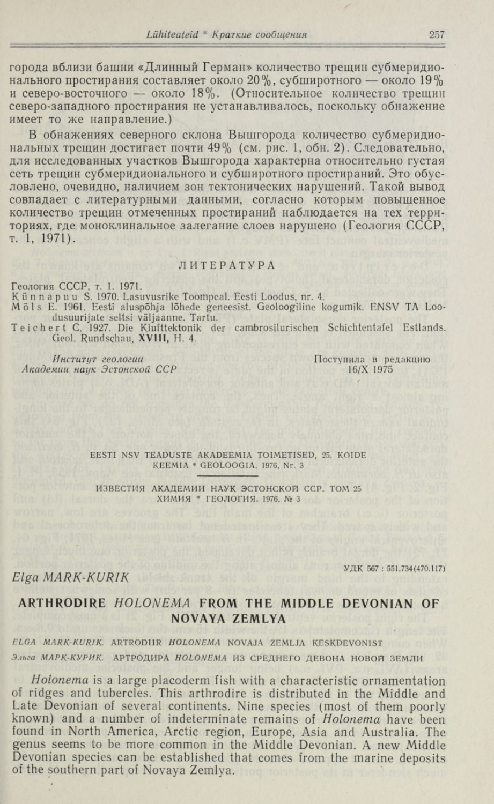города вблизи башни «Длинный Герман» количество трещин субмеридио-<br>нального простирания составляет около 20%, субширотного — около 19% северо-восточного — около 18%. (Относительное количество трещин северо-западного простирания не устанавливалось, поскольку обнажение имеет то же направление.)

В обнажениях северного склона Вышгорода количество субмеридиональных трещин достигает почти 49% (см. рис. 1, обн. 2). Следовательно, для исследованных участков Вышгорода характерна относительно густая сеть трещин субмеридионального и субширотного простираний. Это обусловлено, очевидно, наличием зон тектонических нарушений. Такой вывод совпадает с литературными данными, согласно которым повышенное количество трещин отмеченных простираний наблюдается на тех территориях, где моноклинальное залегание слоев нарушено (Геология СССР, ̃. 1, 1971).

### ЛИТЕРАТУРА

Геология СССР, т. 1. 1971.<br>Künnapuu S. 1970. Lasuvusrike Toompeal. Eesti Loodus, nr. 4.<br>Möls E. 1961. Eesti aluspõhja lõhede geneesist. Geoloogiline kogumik. ENSV TA Loo dusuurijate seltsi väljaanne. Tartu.

Tei chert C. 1927. Die Klufttektonik der cambrosilurischen Schichtentafel Estlands. Geol. Rundschau, XVIII, H. 4.

Институт геологии Поступила в редакцию Академии наук Эстонской ССР 16/Х 1975

EESTI NSV TEADUSTE AKADEEMIA TOIMETISED, 25. KÖIDE KEEMIA \* GEOLOOGIA, 1976, Nr. 3

ИЗВЕСТИЯ АКАДЕМИИ НАУК ЭСТОНСКОЙ ССР. ТОМ 25 ХИМИЯ \* ГЕОЛОГИЯ. 1976, № 3

УДК 567: 551.734 (470.117)

## Elga MARK-KURIK

# ARTHRODIRE HOLONEMA FROM THE MIDDLE DEVONIAN OF NOVAYA ZEMLYA

## ELGA MARK-KURIK. ARTRODIIR HOLONEMA NOVAJA ZEMLJA KESKDEVONIST Эльга МАРК-КУРИК. АРТРОДИРА НОLОNEMA ИЗ СРЕДНЕГО ДЕВОНА НОВОЙ ЗЕМЛИ

Holonema is a large placoderm fish with a characteristic ornamentation<br>of ridges and tubercles. This arthrodire is distributed in the Middle and<br>Late Devonian of several continents. Nine species (most of them poorly<br>known) genus seems to be more common in the Middle Devonian. A new Middle Devonian species can be established that comes from the marine deposits of the southern part of Novaya Zemlya.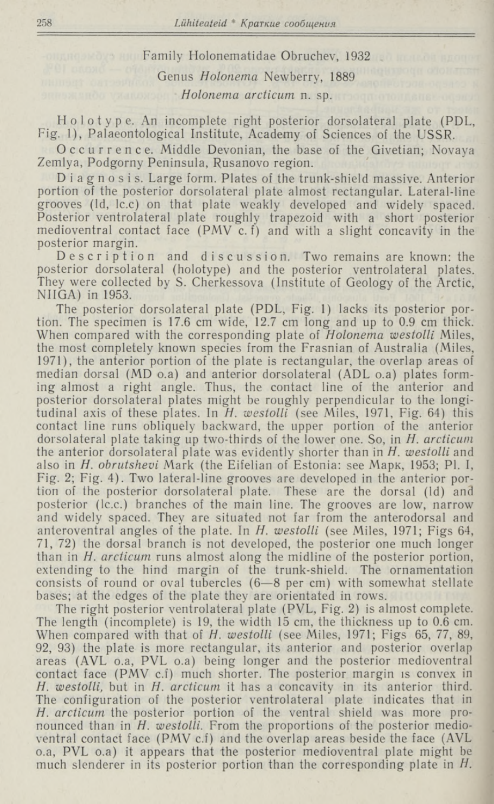Family Holonematidae Obruchev, 1932 Genus Holonema Newberry, 1889 Holonema arcticum n. sp.

Holotype. An incomplete right posterior dorsolateral plate (PDL, Fig. 1), Palaeontological Institute, Academy of Sciences of the USSR.

Occurrence. Middle Devonian, the base of the Givetian; Novaya Zemlya, Podgorny Peninsula, Rusanovo region.

Diagnosis. Large form. Plates of the trunk-shield massive. Anterior portion of the posterior dorsolateral plate almost rectangular. Lateral-line grooves (Id, Ic.c) on that plate weakly developed and widely spaced. Posterior ventrolateral plate roughly trapezoid with a short posterior medioventral contact face  $(PMV c.f)$  and with a slight concavity in the

posterior margin.<br>Description and discussion. Two remains are known: the posterior dorsolateral (holotype) and the posterior ventrolateral plates.<br>They were collected by S. Cherkessova (Institute of Geology of the Arctic,

The posterior dorsolateral plate (PDL, Fig. 1) lacks its posterior portion. The specimen is 17.6 cm wide, 12.7 cm long and up to 0.9 cm thick. When compared with the corresponding plate of *Holonema westolli* Miles, the most completely known species from the Frasnian of Australia (Miles, 1971), the anterior portion of the plate is rectangular, the overlap areas of median dorsal (MD 0.a) and anterior dorsolateral (ADL 0.a) plates forming almost a right angle. Thus, the contact line of the anterior and posterior dorsolateral plates might be roughly perpendicular to the longitudinal axis of these plates. In  $H$ . westolli (see Miles, 1971, Fig. 64) this contact line runs obliquely backward, the upper portion of the anterior dorsolateral plate taking up two-thirds of the lower one. So, in H. arcticum the anterior dorsolateral plate was evidently shorter than in H, westolli and also in *H. obrutshevi* Mark (the Eifelian of Estonia: see Марк, 1953; Pl. I, Fig. 2; Fig. 4). Two lateral-line grooves are developed in the anterior porposterior (Ic.c.) branches of the main line. The grooves are low, narrow and widely spaced. They are situated not far from the anterodorsal and anteroventral angles of the plate. In  $H$ . westolli (see Miles, 1971; Figs 64, 71, 72) the dorsal branch is not developed, the posterior one much longer than in *H. arcticum* runs almost along the midline of the posterior portion, extending to the hind margin of the trunk-shield. The ornamentation consists of round or oval tubercles (6—8 per cm) with somewhat stellate bases; at the edges of the plate they are orientated in rows.

The right posterior ventrolateral plate (PVL, Fig. 2) is almost complete. The length (incomplete) is 19, the width 15 cm, the thickness up to 0.6 cm. When compared with that of H. westolli (see Miles, 1971; Figs 65, 77, 89, 92, 93) the plate is more rectangular, its anterior and posterior overlap areas (AVL 0.a, PVL 0.a) being longer and the posterior medioventral contact face (PMV c.f) much shorter. The posterior margin is convex in H. westolli, but in H. arcticum it has a concavity in its anterior third. The configuration of the posterior ventrolateral plate indicates that in H. arcticum the posterior portion of the ventral shield was more pronounced than in H. westolli. From the proportions of the posterior medioventral contact face (PMV c.f) and the overlap areas beside the face (AVL o.a, PVL o.a) it appears that the posterior medioventral plate might be much slenderer in its posterior portion than the corresponding plate in H.